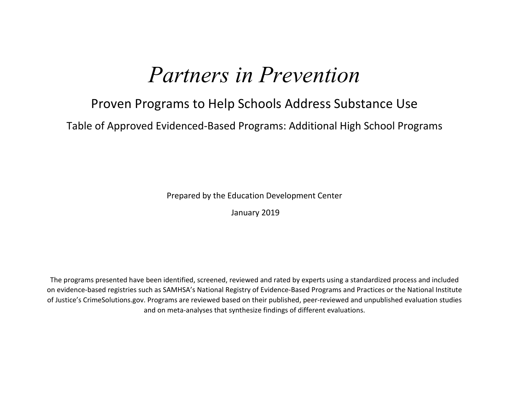## *Partners in Prevention*

## Proven Programs to Help Schools Address Substance Use

Table of Approved Evidenced-Based Programs: Additional High School Programs

Prepared by the Education Development Center

January 2019

The programs presented have been identified, screened, reviewed and rated by experts using a standardized process and included on evidence-based registries such as SAMHSA's National Registry of Evidence-Based Programs and Practices or the National Institute of Justice's CrimeSolutions.gov. Programs are reviewed based on their published, peer-reviewed and unpublished evaluation studies and on meta-analyses that synthesize findings of different evaluations.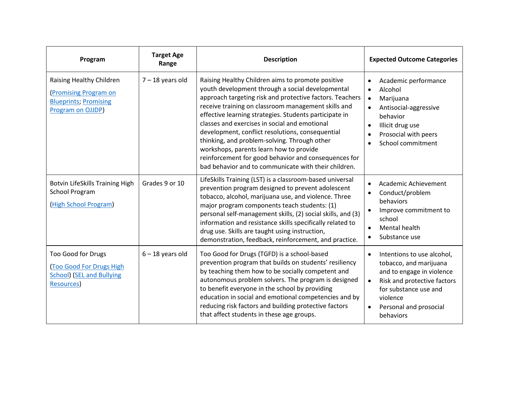| Program                                                                                                        | <b>Target Age</b><br>Range | <b>Description</b>                                                                                                                                                                                                                                                                                                                                                                                                                                                                                                                                                                                 | <b>Expected Outcome Categories</b>                                                                                                                                                                                     |
|----------------------------------------------------------------------------------------------------------------|----------------------------|----------------------------------------------------------------------------------------------------------------------------------------------------------------------------------------------------------------------------------------------------------------------------------------------------------------------------------------------------------------------------------------------------------------------------------------------------------------------------------------------------------------------------------------------------------------------------------------------------|------------------------------------------------------------------------------------------------------------------------------------------------------------------------------------------------------------------------|
| Raising Healthy Children<br>(Promising Program on<br><b>Blueprints; Promising</b><br>Program on OJJDP)         | $7 - 18$ years old         | Raising Healthy Children aims to promote positive<br>youth development through a social developmental<br>approach targeting risk and protective factors. Teachers<br>receive training on classroom management skills and<br>effective learning strategies. Students participate in<br>classes and exercises in social and emotional<br>development, conflict resolutions, consequential<br>thinking, and problem-solving. Through other<br>workshops, parents learn how to provide<br>reinforcement for good behavior and consequences for<br>bad behavior and to communicate with their children. | Academic performance<br>Alcohol<br>$\bullet$<br>Marijuana<br>$\bullet$<br>Antisocial-aggressive<br>behavior<br>Illicit drug use<br>$\bullet$<br>Prosocial with peers<br>School commitment                              |
| Botvin LifeSkills Training High<br><b>School Program</b><br>(High School Program)                              | Grades 9 or 10             | LifeSkills Training (LST) is a classroom-based universal<br>prevention program designed to prevent adolescent<br>tobacco, alcohol, marijuana use, and violence. Three<br>major program components teach students: (1)<br>personal self-management skills, (2) social skills, and (3)<br>information and resistance skills specifically related to<br>drug use. Skills are taught using instruction,<br>demonstration, feedback, reinforcement, and practice.                                                                                                                                       | Academic Achievement<br>Conduct/problem<br>behaviors<br>Improve commitment to<br>$\bullet$<br>school<br>Mental health<br>Substance use                                                                                 |
| Too Good for Drugs<br><b>Too Good For Drugs High</b><br><b>School) (SEL and Bullying</b><br><b>Resources</b> ) | $6 - 18$ years old         | Too Good for Drugs (TGFD) is a school-based<br>prevention program that builds on students' resiliency<br>by teaching them how to be socially competent and<br>autonomous problem solvers. The program is designed<br>to benefit everyone in the school by providing<br>education in social and emotional competencies and by<br>reducing risk factors and building protective factors<br>that affect students in these age groups.                                                                                                                                                                 | Intentions to use alcohol,<br>tobacco, and marijuana<br>and to engage in violence<br>Risk and protective factors<br>$\bullet$<br>for substance use and<br>violence<br>Personal and prosocial<br>$\bullet$<br>behaviors |